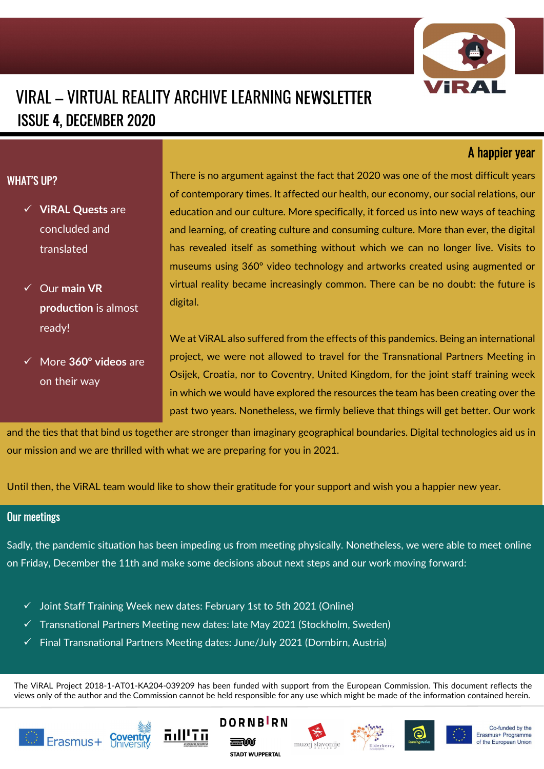

# VIRAL – VIRTUAL REALITY ARCHIVE LEARNING NEWSLETTER ISSUE 4, DECEMBER 2020

## A happier year

### WHAT'S UP?

- $\checkmark$  ViRAL Quests are concluded and translated
- $\checkmark$  Our main VR production is almost ready!
- More 360° videos are on their way

There is no argument against the fact that 2020 was one of the most difficult years of contemporary times. It affected our health, our economy, our social relations, our education and our culture. More specifically, it forced us into new ways of teaching and learning, of creating culture and consuming culture. More than ever, the digital has revealed itself as something without which we can no longer live. Visits to museums using 360º video technology and artworks created using augmented or virtual reality became increasingly common. There can be no doubt: the future is digital.

We at ViRAL also suffered from the effects of this pandemics. Being an international project, we were not allowed to travel for the Transnational Partners Meeting in Osijek, Croatia, nor to Coventry, United Kingdom, for the joint staff training week in which we would have explored the resources the team has been creating over the past two years. Nonetheless, we firmly believe that things will get better. Our work

and the ties that that bind us together are stronger than imaginary geographical boundaries. Digital technologies aid us in our mission and we are thrilled with what we are preparing for you in 2021.

Until then, the ViRAL team would like to show their gratitude for your support and wish you a happier new year.

#### Our meetings

Sadly, the pandemic situation has been impeding us from meeting physically. Nonetheless, we were able to meet online on Friday, December the 11th and make some decisions about next steps and our work moving forward:

- $\checkmark$  Joint Staff Training Week new dates: February 1st to 5th 2021 (Online)
- $\checkmark$  Transnational Partners Meeting new dates: late May 2021 (Stockholm, Sweden)
- $\checkmark$  Final Transnational Partners Meeting dates: June/July 2021 (Dornbirn, Austria)

The ViRAL Project 2018-1-AT01-KA204-039209 has been funded with support from the European Commission. This document reflects the views only of the author and the Commission cannot be held responsible for any use which might be made of the information contained herein.















Co-funded by the Erasmus+ Programme of the European Union